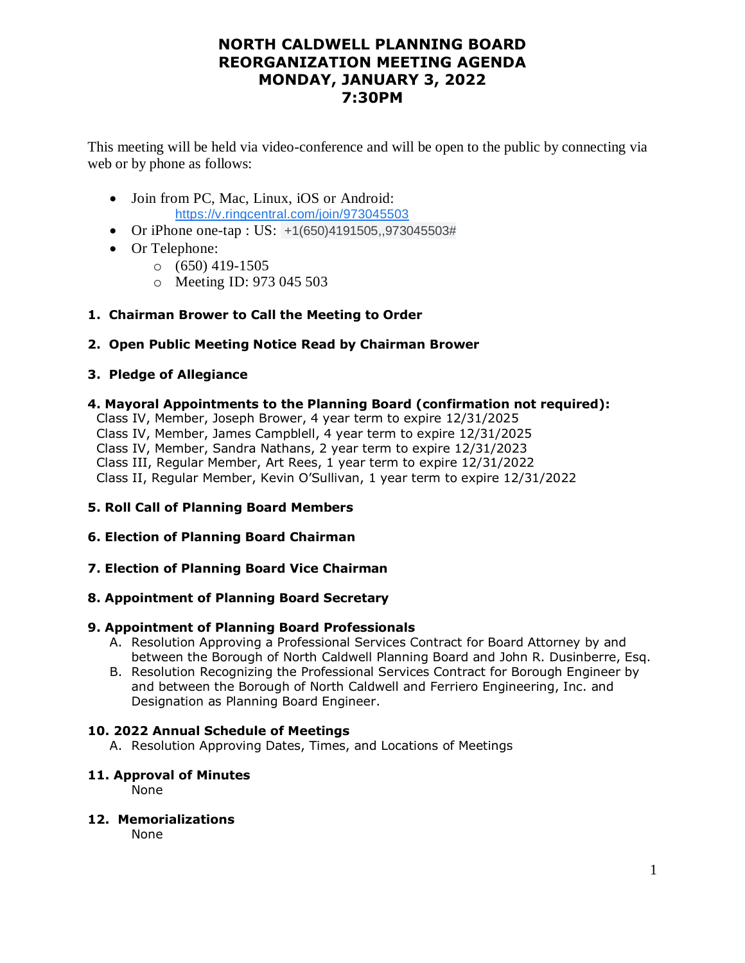## **NORTH CALDWELL PLANNING BOARD REORGANIZATION MEETING AGENDA MONDAY, JANUARY 3, 2022 7:30PM**

This meeting will be held via video-conference and will be open to the public by connecting via web or by phone as follows:

- Join from PC, Mac, Linux, iOS or Android: [https://v.ringcentral.com/join/973045503](https://www.google.com/url?q=https://v.ringcentral.com/join/973045503&sa=D&source=calendar&ust=1641654525367171&usg=AOvVaw22yH0zxUOG6FjH6me6cRtD)
- Or iPhone one-tap : US: +1(650)4191505,,973045503#
- Or Telephone:
	- $\circ$  (650) 419-1505
	- o Meeting ID: 973 045 503
- **1. Chairman Brower to Call the Meeting to Order**
- **2. Open Public Meeting Notice Read by Chairman Brower**

## **3. Pledge of Allegiance**

**4. Mayoral Appointments to the Planning Board (confirmation not required):**

 Class IV, Member, Joseph Brower, 4 year term to expire 12/31/2025 Class IV, Member, James Campblell, 4 year term to expire 12/31/2025 Class IV, Member, Sandra Nathans, 2 year term to expire 12/31/2023 Class III, Regular Member, Art Rees, 1 year term to expire 12/31/2022 Class II, Regular Member, Kevin O'Sullivan, 1 year term to expire 12/31/2022

## **5. Roll Call of Planning Board Members**

## **6. Election of Planning Board Chairman**

**7. Election of Planning Board Vice Chairman**

## **8. Appointment of Planning Board Secretary**

## **9. Appointment of Planning Board Professionals**

- A. Resolution Approving a Professional Services Contract for Board Attorney by and between the Borough of North Caldwell Planning Board and John R. Dusinberre, Esq.
- B. Resolution Recognizing the Professional Services Contract for Borough Engineer by and between the Borough of North Caldwell and Ferriero Engineering, Inc. and Designation as Planning Board Engineer.

## **10. 2022 Annual Schedule of Meetings**

A. Resolution Approving Dates, Times, and Locations of Meetings

## **11. Approval of Minutes**

None

## **12. Memorializations**

None